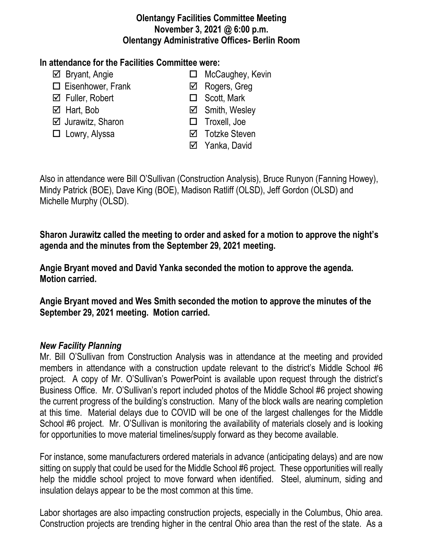#### **Olentangy Facilities Committee Meeting November 3, 2021 @ 6:00 p.m. Olentangy Administrative Offices- Berlin Room**

## **In attendance for the Facilities Committee were:**

- 
- $\Box$  Eisenhower, Frank  $\Box$  Rogers, Greg
- $\boxtimes$  Fuller, Robert **Scott**, Mark
- 
- Jurawitz, Sharon Troxell, Joe
- 
- $\boxtimes$  Bryant, Angie **MicCaughey, Kevin** 
	-
	-
- $\boxtimes$  Hart, Bob **Simith, Wesley Smith**, Wesley
	-
- □ Lowry, Alyssa <br>
□ Cowry, Alyssa <br>
□ Totzke Steven
	- **⊠** Yanka, David

Also in attendance were Bill O'Sullivan (Construction Analysis), Bruce Runyon (Fanning Howey), Mindy Patrick (BOE), Dave King (BOE), Madison Ratliff (OLSD), Jeff Gordon (OLSD) and Michelle Murphy (OLSD).

**Sharon Jurawitz called the meeting to order and asked for a motion to approve the night's agenda and the minutes from the September 29, 2021 meeting.**

**Angie Bryant moved and David Yanka seconded the motion to approve the agenda. Motion carried.**

**Angie Bryant moved and Wes Smith seconded the motion to approve the minutes of the September 29, 2021 meeting. Motion carried.**

# *New Facility Planning*

Mr. Bill O'Sullivan from Construction Analysis was in attendance at the meeting and provided members in attendance with a construction update relevant to the district's Middle School #6 project. A copy of Mr. O'Sullivan's PowerPoint is available upon request through the district's Business Office. Mr. O'Sullivan's report included photos of the Middle School #6 project showing the current progress of the building's construction. Many of the block walls are nearing completion at this time. Material delays due to COVID will be one of the largest challenges for the Middle School #6 project. Mr. O'Sullivan is monitoring the availability of materials closely and is looking for opportunities to move material timelines/supply forward as they become available.

For instance, some manufacturers ordered materials in advance (anticipating delays) and are now sitting on supply that could be used for the Middle School #6 project. These opportunities will really help the middle school project to move forward when identified. Steel, aluminum, siding and insulation delays appear to be the most common at this time.

Labor shortages are also impacting construction projects, especially in the Columbus, Ohio area. Construction projects are trending higher in the central Ohio area than the rest of the state. As a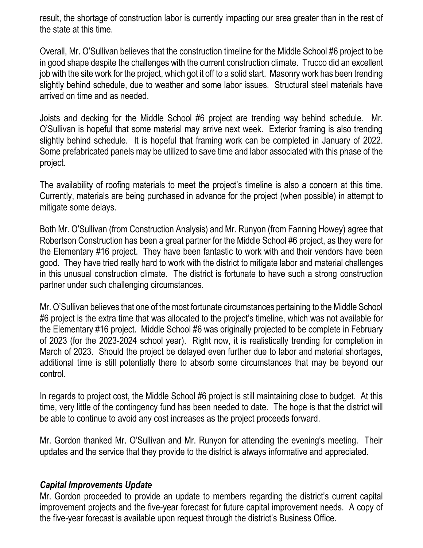result, the shortage of construction labor is currently impacting our area greater than in the rest of the state at this time.

Overall, Mr. O'Sullivan believes that the construction timeline for the Middle School #6 project to be in good shape despite the challenges with the current construction climate. Trucco did an excellent job with the site work for the project, which got it off to a solid start. Masonry work has been trending slightly behind schedule, due to weather and some labor issues. Structural steel materials have arrived on time and as needed.

Joists and decking for the Middle School #6 project are trending way behind schedule. Mr. O'Sullivan is hopeful that some material may arrive next week. Exterior framing is also trending slightly behind schedule. It is hopeful that framing work can be completed in January of 2022. Some prefabricated panels may be utilized to save time and labor associated with this phase of the project.

The availability of roofing materials to meet the project's timeline is also a concern at this time. Currently, materials are being purchased in advance for the project (when possible) in attempt to mitigate some delays.

Both Mr. O'Sullivan (from Construction Analysis) and Mr. Runyon (from Fanning Howey) agree that Robertson Construction has been a great partner for the Middle School #6 project, as they were for the Elementary #16 project. They have been fantastic to work with and their vendors have been good. They have tried really hard to work with the district to mitigate labor and material challenges in this unusual construction climate. The district is fortunate to have such a strong construction partner under such challenging circumstances.

Mr. O'Sullivan believes that one of the most fortunate circumstances pertaining to the Middle School #6 project is the extra time that was allocated to the project's timeline, which was not available for the Elementary #16 project. Middle School #6 was originally projected to be complete in February of 2023 (for the 2023-2024 school year). Right now, it is realistically trending for completion in March of 2023. Should the project be delayed even further due to labor and material shortages, additional time is still potentially there to absorb some circumstances that may be beyond our control.

In regards to project cost, the Middle School #6 project is still maintaining close to budget. At this time, very little of the contingency fund has been needed to date. The hope is that the district will be able to continue to avoid any cost increases as the project proceeds forward.

Mr. Gordon thanked Mr. O'Sullivan and Mr. Runyon for attending the evening's meeting. Their updates and the service that they provide to the district is always informative and appreciated.

#### *Capital Improvements Update*

Mr. Gordon proceeded to provide an update to members regarding the district's current capital improvement projects and the five-year forecast for future capital improvement needs. A copy of the five-year forecast is available upon request through the district's Business Office.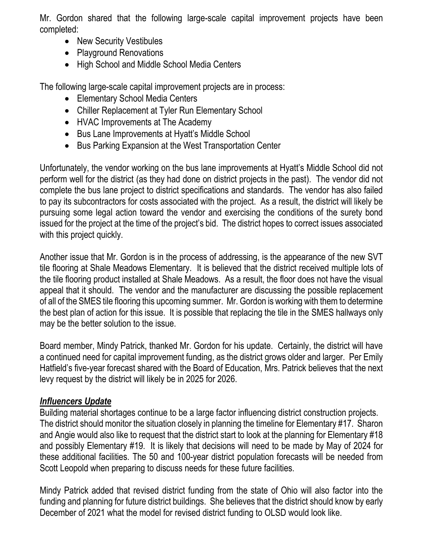Mr. Gordon shared that the following large-scale capital improvement projects have been completed:

- New Security Vestibules
- Playground Renovations
- High School and Middle School Media Centers

The following large-scale capital improvement projects are in process:

- Elementary School Media Centers
- Chiller Replacement at Tyler Run Elementary School
- HVAC Improvements at The Academy
- Bus Lane Improvements at Hyatt's Middle School
- Bus Parking Expansion at the West Transportation Center

Unfortunately, the vendor working on the bus lane improvements at Hyatt's Middle School did not perform well for the district (as they had done on district projects in the past). The vendor did not complete the bus lane project to district specifications and standards. The vendor has also failed to pay its subcontractors for costs associated with the project. As a result, the district will likely be pursuing some legal action toward the vendor and exercising the conditions of the surety bond issued for the project at the time of the project's bid. The district hopes to correct issues associated with this project quickly.

Another issue that Mr. Gordon is in the process of addressing, is the appearance of the new SVT tile flooring at Shale Meadows Elementary. It is believed that the district received multiple lots of the tile flooring product installed at Shale Meadows. As a result, the floor does not have the visual appeal that it should. The vendor and the manufacturer are discussing the possible replacement of all of the SMES tile flooring this upcoming summer. Mr. Gordon is working with them to determine the best plan of action for this issue. It is possible that replacing the tile in the SMES hallways only may be the better solution to the issue.

Board member, Mindy Patrick, thanked Mr. Gordon for his update. Certainly, the district will have a continued need for capital improvement funding, as the district grows older and larger. Per Emily Hatfield's five-year forecast shared with the Board of Education, Mrs. Patrick believes that the next levy request by the district will likely be in 2025 for 2026.

# *Influencers Update*

Building material shortages continue to be a large factor influencing district construction projects. The district should monitor the situation closely in planning the timeline for Elementary #17. Sharon and Angie would also like to request that the district start to look at the planning for Elementary #18 and possibly Elementary #19. It is likely that decisions will need to be made by May of 2024 for these additional facilities. The 50 and 100-year district population forecasts will be needed from Scott Leopold when preparing to discuss needs for these future facilities.

Mindy Patrick added that revised district funding from the state of Ohio will also factor into the funding and planning for future district buildings. She believes that the district should know by early December of 2021 what the model for revised district funding to OLSD would look like.